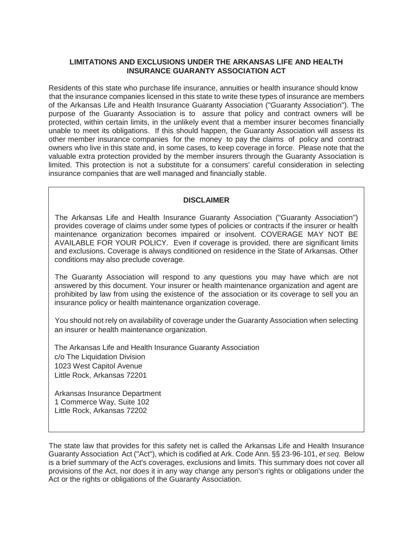### **LIMITATIONS AND EXCLUSIONS UNDER THE ARKANSAS LIFE AND HEALTH INSURANCE GUARANTY ASSOCIATION ACT**

Residents of this state who purchase life insurance, annuities or health insurance should know that the insurance companies licensed in this state to write these types of insurance are members of the Arkansas Life and Health Insurance Guaranty Association ("Guaranty Association"). The purpose of the Guaranty Association is to assure that policy and contract owners will be protected, within certain limits, in the unlikely event that a member insurer becomes financially unable to meet its obligations. If this should happen, the Guaranty Association will assess its other member insurance companies for the money to pay the claims of policy and contract owners who live in this state and, in some cases, to keep coverage in force. Please note that the valuable extra protection provided by the member insurers through the Guaranty Association is limited. This protection is not a substitute for a consumers' careful consideration in selecting insurance companies that are well managed and financially stable.

# **DISCLAIMER**

The Arkansas Life and Health Insurance Guaranty Association ("Guaranty Association") provides coverage of claims under some types of policies or contracts if the insurer or health maintenance organization becomes impaired or insolvent. COVERAGE MAY NOT BE AVAILABLE FOR YOUR POLICY. Even if coverage is provided, there are significant limits and exclusions. Coverage is always conditioned on residence in the State of Arkansas. Other conditions may also preclude coverage.

The Guaranty Association will respond to any questions you may have which are not answered by this document. Your insurer or health maintenance organization and agent are prohibited by law from using the existence of the association or its coverage to sell you an insurance policy or health maintenance organization coverage.

You should not rely on availability of coverage under the Guaranty Association when selecting an insurer or health maintenance organization.

The Arkansas Life and Health Insurance Guaranty Association c/o The Liquidation Division 1023 West Capitol Avenue Little Rock, Arkansas 72201

Arkansas Insurance Department 1 Commerce Way, Suite 102 Little Rock, Arkansas 72202

The state law that provides for this safety net is called the Arkansas Life and Health Insurance Guaranty Association Act ("Act"), which is codified at Ark. Code Ann. §§ 23-96-101, *et seq.* Below is a brief summary of the Act's coverages, exclusions and limits. This summary does not cover all provisions of the Act, nor does it in any way change any person's rights or obligations under the Act or the rights or obligations of the Guaranty Association.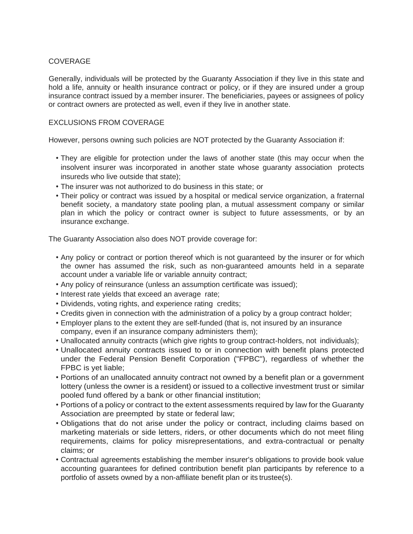# **COVERAGE**

Generally, individuals will be protected by the Guaranty Association if they live in this state and hold a life, annuity or health insurance contract or policy, or if they are insured under a group insurance contract issued by a member insurer. The beneficiaries, payees or assignees of policy or contract owners are protected as well, even if they live in another state.

### EXCLUSIONS FROM COVERAGE

However, persons owning such policies are NOT protected by the Guaranty Association if:

- They are eligible for protection under the laws of another state (this may occur when the insolvent insurer was incorporated in another state whose guaranty association protects insureds who live outside that state);
- The insurer was not authorized to do business in this state; or
- Their policy or contract was issued by a hospital or medical service organization, a fraternal benefit society, a mandatory state pooling plan, a mutual assessment company or similar plan in which the policy or contract owner is subject to future assessments, or by an insurance exchange.

The Guaranty Association also does NOT provide coverage for:

- Any policy or contract or portion thereof which is not guaranteed by the insurer or for which the owner has assumed the risk, such as non-guaranteed amounts held in a separate account under a variable life or variable annuity contract;
- Any policy of reinsurance (unless an assumption certificate was issued);
- Interest rate yields that exceed an average rate;
- Dividends, voting rights, and experience rating credits;
- Credits given in connection with the administration of a policy by a group contract holder;
- Employer plans to the extent they are self-funded (that is, not insured by an insurance company, even if an insurance company administers them);
- Unallocated annuity contracts (which give rights to group contract-holders, not individuals);
- Unallocated annuity contracts issued to or in connection with benefit plans protected under the Federal Pension Benefit Corporation ("FPBC"), regardless of whether the FPBC is yet liable;
- Portions of an unallocated annuity contract not owned by a benefit plan or a government lottery (unless the owner is a resident) or issued to a collective investment trust or similar pooled fund offered by a bank or other financial institution;
- Portions of a policy or contract to the extent assessments required by law for the Guaranty Association are preempted by state or federal law;
- Obligations that do not arise under the policy or contract, including claims based on marketing materials or side letters, riders, or other documents which do not meet filing requirements, claims for policy misrepresentations, and extra-contractual or penalty claims; or
- Contractual agreements establishing the member insurer's obligations to provide book value accounting guarantees for defined contribution benefit plan participants by reference to a portfolio of assets owned by a non-affiliate benefit plan or its trustee(s).